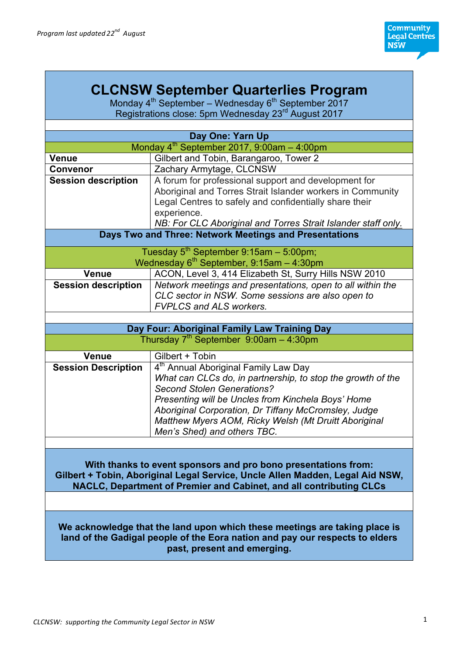# **CLCNSW September Quarterlies Program**

Monday  $4^{th}$  September – Wednesday  $6^{th}$  September 2017 Registrations close: 5pm Wednesday 23<sup>rd</sup> August 2017

| Day One: Yarn Up                                                                                                                                                                                                       |                                                                                                                                                                                                                                                                                                                                                           |  |
|------------------------------------------------------------------------------------------------------------------------------------------------------------------------------------------------------------------------|-----------------------------------------------------------------------------------------------------------------------------------------------------------------------------------------------------------------------------------------------------------------------------------------------------------------------------------------------------------|--|
| Monday $4^{th}$ September 2017, 9:00am - 4:00pm                                                                                                                                                                        |                                                                                                                                                                                                                                                                                                                                                           |  |
| <b>Venue</b>                                                                                                                                                                                                           | Gilbert and Tobin, Barangaroo, Tower 2                                                                                                                                                                                                                                                                                                                    |  |
| Convenor                                                                                                                                                                                                               | Zachary Armytage, CLCNSW                                                                                                                                                                                                                                                                                                                                  |  |
| <b>Session description</b>                                                                                                                                                                                             | A forum for professional support and development for<br>Aboriginal and Torres Strait Islander workers in Community<br>Legal Centres to safely and confidentially share their<br>experience.<br>NB: For CLC Aboriginal and Torres Strait Islander staff only.                                                                                              |  |
|                                                                                                                                                                                                                        | Days Two and Three: Network Meetings and Presentations                                                                                                                                                                                                                                                                                                    |  |
|                                                                                                                                                                                                                        | Tuesday $5^{th}$ September 9:15am - 5:00pm;<br>Wednesday $6^{th}$ September, 9:15am - 4:30pm                                                                                                                                                                                                                                                              |  |
| <b>Venue</b>                                                                                                                                                                                                           | ACON, Level 3, 414 Elizabeth St, Surry Hills NSW 2010                                                                                                                                                                                                                                                                                                     |  |
| <b>Session description</b>                                                                                                                                                                                             | Network meetings and presentations, open to all within the<br>CLC sector in NSW. Some sessions are also open to<br><b>FVPLCS and ALS workers.</b>                                                                                                                                                                                                         |  |
|                                                                                                                                                                                                                        |                                                                                                                                                                                                                                                                                                                                                           |  |
|                                                                                                                                                                                                                        | Day Four: Aboriginal Family Law Training Day                                                                                                                                                                                                                                                                                                              |  |
|                                                                                                                                                                                                                        | Thursday $7th$ September 9:00am - 4:30pm                                                                                                                                                                                                                                                                                                                  |  |
| <b>Venue</b>                                                                                                                                                                                                           | Gilbert + Tobin                                                                                                                                                                                                                                                                                                                                           |  |
| <b>Session Description</b>                                                                                                                                                                                             | 4 <sup>th</sup> Annual Aboriginal Family Law Day<br>What can CLCs do, in partnership, to stop the growth of the<br><b>Second Stolen Generations?</b><br>Presenting will be Uncles from Kinchela Boys' Home<br>Aboriginal Corporation, Dr Tiffany McCromsley, Judge<br>Matthew Myers AOM, Ricky Welsh (Mt Druitt Aboriginal<br>Men's Shed) and others TBC. |  |
|                                                                                                                                                                                                                        |                                                                                                                                                                                                                                                                                                                                                           |  |
| With thanks to event sponsors and pro bono presentations from:<br>Gilbert + Tobin, Aboriginal Legal Service, Uncle Allen Madden, Legal Aid NSW,<br>NACLC, Department of Premier and Cabinet, and all contributing CLCs |                                                                                                                                                                                                                                                                                                                                                           |  |
|                                                                                                                                                                                                                        |                                                                                                                                                                                                                                                                                                                                                           |  |
|                                                                                                                                                                                                                        | We acknowledge that the land upon which these meetings are taking place is<br>land of the Gadigal people of the Eora nation and pay our respects to elders<br>past, present and emerging.                                                                                                                                                                 |  |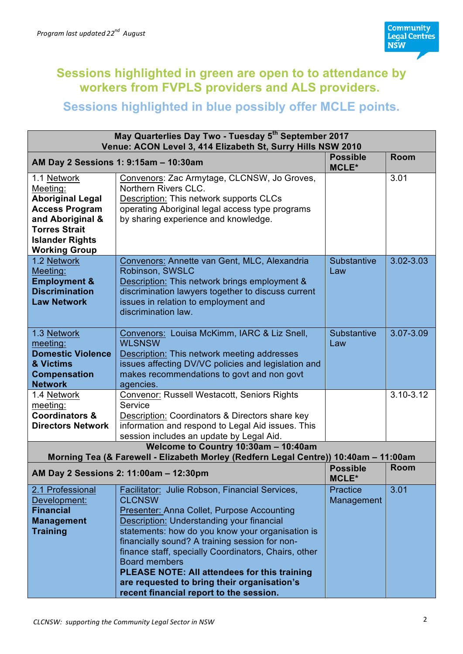

## **Sessions highlighted in green are open to to attendance by workers from FVPLS providers and ALS providers.**

## **Sessions highlighted in blue possibly offer MCLE points.**

| May Quarterlies Day Two - Tuesday 5 <sup>th</sup> September 2017<br>Venue: ACON Level 3, 414 Elizabeth St, Surry Hills NSW 2010                                           |                                                                                                                                                                                                                                                                                                                                                                                                                                                                                            |                                 |             |
|---------------------------------------------------------------------------------------------------------------------------------------------------------------------------|--------------------------------------------------------------------------------------------------------------------------------------------------------------------------------------------------------------------------------------------------------------------------------------------------------------------------------------------------------------------------------------------------------------------------------------------------------------------------------------------|---------------------------------|-------------|
| AM Day 2 Sessions 1: 9:15am - 10:30am                                                                                                                                     |                                                                                                                                                                                                                                                                                                                                                                                                                                                                                            | <b>Possible</b><br><b>MCLE*</b> | <b>Room</b> |
| 1.1 Network<br>Meeting:<br><b>Aboriginal Legal</b><br><b>Access Program</b><br>and Aboriginal &<br><b>Torres Strait</b><br><b>Islander Rights</b><br><b>Working Group</b> | Convenors: Zac Armytage, CLCNSW, Jo Groves,<br>Northern Rivers CLC.<br>Description: This network supports CLCs<br>operating Aboriginal legal access type programs<br>by sharing experience and knowledge.                                                                                                                                                                                                                                                                                  |                                 | 3.01        |
| 1.2 Network<br>Meeting:<br><b>Employment &amp;</b><br><b>Discrimination</b><br><b>Law Network</b>                                                                         | Convenors: Annette van Gent, MLC, Alexandria<br>Robinson, SWSLC<br>Description: This network brings employment &<br>discrimination lawyers together to discuss current<br>issues in relation to employment and<br>discrimination law.                                                                                                                                                                                                                                                      | <b>Substantive</b><br>Law       | 3.02-3.03   |
| 1.3 Network<br>meeting:<br><b>Domestic Violence</b><br>& Victims<br><b>Compensation</b><br><b>Network</b>                                                                 | Convenors: Louisa McKimm, IARC & Liz Snell,<br><b>WLSNSW</b><br>Description: This network meeting addresses<br>issues affecting DV/VC policies and legislation and<br>makes recommendations to govt and non govt<br>agencies.                                                                                                                                                                                                                                                              | Substantive<br>Law              | 3.07-3.09   |
| 1.4 Network<br>meeting:<br><b>Coordinators &amp;</b><br><b>Directors Network</b>                                                                                          | Convenor: Russell Westacott, Seniors Rights<br>Service<br>Description: Coordinators & Directors share key<br>information and respond to Legal Aid issues. This<br>session includes an update by Legal Aid.                                                                                                                                                                                                                                                                                 |                                 | 3.10-3.12   |
| Welcome to Country 10:30am - 10:40am<br>Morning Tea (& Farewell - Elizabeth Morley (Redfern Legal Centre)) 10:40am - 11:00am                                              |                                                                                                                                                                                                                                                                                                                                                                                                                                                                                            |                                 |             |
| AM Day 2 Sessions 2: 11:00am - 12:30pm                                                                                                                                    |                                                                                                                                                                                                                                                                                                                                                                                                                                                                                            | <b>Possible</b><br><b>MCLE*</b> | <b>Room</b> |
| 2.1 Professional<br>Development:<br><b>Financial</b><br><b>Management</b><br><b>Training</b>                                                                              | Facilitator: Julie Robson, Financial Services,<br><b>CLCNSW</b><br>Presenter: Anna Collet, Purpose Accounting<br>Description: Understanding your financial<br>statements: how do you know your organisation is<br>financially sound? A training session for non-<br>finance staff, specially Coordinators, Chairs, other<br><b>Board members</b><br>PLEASE NOTE: All attendees for this training<br>are requested to bring their organisation's<br>recent financial report to the session. | <b>Practice</b><br>Management   | 3.01        |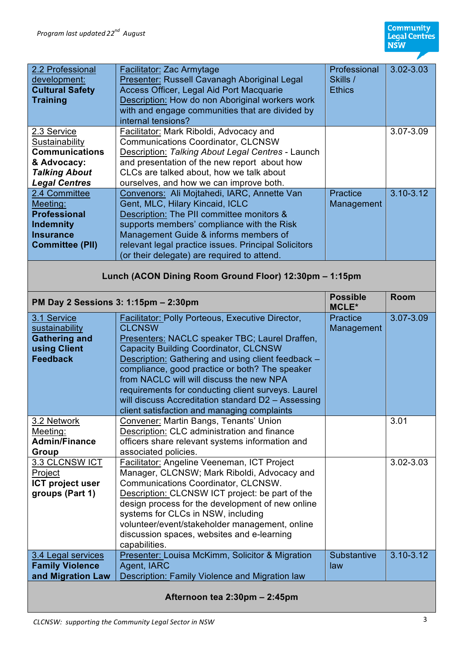| 2.2 Professional                            | Facilitator: Zac Armytage                                     | Professional       | 3.02-3.03     |
|---------------------------------------------|---------------------------------------------------------------|--------------------|---------------|
| development:                                | Presenter: Russell Cavanagh Aboriginal Legal                  | Skills /           |               |
| <b>Cultural Safety</b>                      | Access Officer, Legal Aid Port Macquarie                      | <b>Ethics</b>      |               |
| <b>Training</b>                             | Description: How do non Aboriginal workers work               |                    |               |
|                                             | with and engage communities that are divided by               |                    |               |
|                                             | internal tensions?                                            |                    |               |
| 2.3 Service                                 | Facilitator: Mark Riboldi, Advocacy and                       |                    | 3.07-3.09     |
| Sustainability                              | <b>Communications Coordinator, CLCNSW</b>                     |                    |               |
| <b>Communications</b>                       | Description: Talking About Legal Centres - Launch             |                    |               |
| & Advocacy:                                 | and presentation of the new report about how                  |                    |               |
| <b>Talking About</b>                        | CLCs are talked about, how we talk about                      |                    |               |
| <b>Legal Centres</b>                        | ourselves, and how we can improve both.                       |                    |               |
| 2.4 Committee                               | Convenors: Ali Mojtahedi, IARC, Annette Van                   | Practice           | $3.10 - 3.12$ |
| Meeting:                                    | Gent, MLC, Hilary Kincaid, ICLC                               | Management         |               |
| <b>Professional</b>                         | Description: The PII committee monitors &                     |                    |               |
| <b>Indemnity</b>                            | supports members' compliance with the Risk                    |                    |               |
| <b>Insurance</b>                            | Management Guide & informs members of                         |                    |               |
| <b>Committee (PII)</b>                      | relevant legal practice issues. Principal Solicitors          |                    |               |
|                                             | (or their delegate) are required to attend.                   |                    |               |
|                                             | Lunch (ACON Dining Room Ground Floor) 12:30pm - 1:15pm        |                    |               |
|                                             |                                                               | <b>Possible</b>    | <b>Room</b>   |
| PM Day 2 Sessions 3: 1:15pm - 2:30pm        |                                                               | <b>MCLE*</b>       |               |
| 3.1 Service                                 | <b>Facilitator: Polly Porteous, Executive Director,</b>       | Practice           | 3.07-3.09     |
|                                             |                                                               |                    |               |
| sustainability                              | <b>CLCNSW</b>                                                 | Management         |               |
| <b>Gathering and</b>                        | Presenters: NACLC speaker TBC; Laurel Draffen,                |                    |               |
| using Client                                | <b>Capacity Building Coordinator, CLCNSW</b>                  |                    |               |
| <b>Feedback</b>                             | Description: Gathering and using client feedback -            |                    |               |
|                                             | compliance, good practice or both? The speaker                |                    |               |
|                                             | from NACLC will will discuss the new NPA                      |                    |               |
|                                             | requirements for conducting client surveys. Laurel            |                    |               |
|                                             | will discuss Accreditation standard D2 - Assessing            |                    |               |
|                                             | client satisfaction and managing complaints                   |                    |               |
| 3.2 Network                                 | Convener: Martin Bangs, Tenants' Union                        |                    | 3.01          |
| Meeting:                                    | Description: CLC administration and finance                   |                    |               |
| <b>Admin/Finance</b>                        | officers share relevant systems information and               |                    |               |
| Group                                       | associated policies.                                          |                    |               |
| 3.3 CLCNSW ICT                              | Facilitator: Angeline Veeneman, ICT Project                   |                    | 3.02-3.03     |
| Project                                     | Manager, CLCNSW; Mark Riboldi, Advocacy and                   |                    |               |
| <b>ICT project user</b>                     | Communications Coordinator, CLCNSW.                           |                    |               |
| groups (Part 1)                             | Description: CLCNSW ICT project: be part of the               |                    |               |
|                                             | design process for the development of new online              |                    |               |
|                                             | systems for CLCs in NSW, including                            |                    |               |
|                                             | volunteer/event/stakeholder management, online                |                    |               |
|                                             | discussion spaces, websites and e-learning                    |                    |               |
|                                             | capabilities.                                                 |                    |               |
| 3.4 Legal services                          | Presenter: Louisa McKimm, Solicitor & Migration               | <b>Substantive</b> | $3.10 - 3.12$ |
| <b>Family Violence</b><br>and Migration Law | Agent, IARC<br>Description: Family Violence and Migration law | law                |               |

**Afternoon tea 2:30pm – 2:45pm**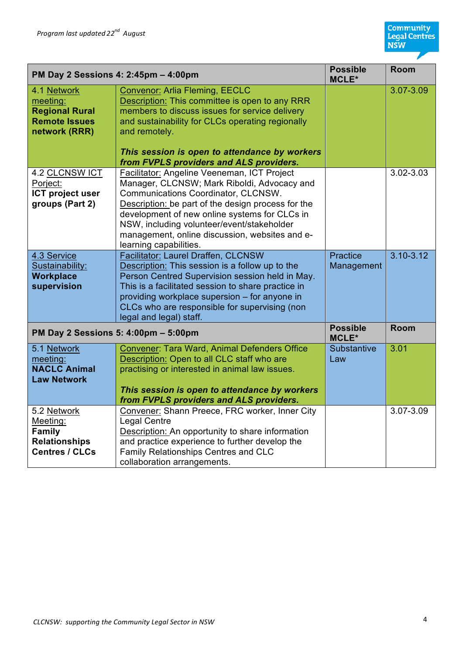| PM Day 2 Sessions 4: 2:45pm - 4:00pm                                                      |                                                                                                                                                                                                                                                                                                                                                                    | <b>Possible</b><br><b>MCLE*</b> | <b>Room</b>   |
|-------------------------------------------------------------------------------------------|--------------------------------------------------------------------------------------------------------------------------------------------------------------------------------------------------------------------------------------------------------------------------------------------------------------------------------------------------------------------|---------------------------------|---------------|
| 4.1 Network<br>meeting:<br><b>Regional Rural</b><br><b>Remote Issues</b><br>network (RRR) | <b>Convenor: Arlia Fleming, EECLC</b><br>Description: This committee is open to any RRR<br>members to discuss issues for service delivery<br>and sustainability for CLCs operating regionally<br>and remotely.<br>This session is open to attendance by workers<br>from FVPLS providers and ALS providers.                                                         |                                 | 3.07-3.09     |
| 4.2 CLCNSW ICT<br>Porject:<br>ICT project user<br>groups (Part 2)                         | Facilitator: Angeline Veeneman, ICT Project<br>Manager, CLCNSW; Mark Riboldi, Advocacy and<br>Communications Coordinator, CLCNSW.<br>Description: be part of the design process for the<br>development of new online systems for CLCs in<br>NSW, including volunteer/event/stakeholder<br>management, online discussion, websites and e-<br>learning capabilities. |                                 | 3.02-3.03     |
| 4.3 Service<br>Sustainability:<br><b>Workplace</b><br>supervision                         | Facilitator: Laurel Draffen, CLCNSW<br>Description: This session is a follow up to the<br>Person Centred Supervision session held in May.<br>This is a facilitated session to share practice in<br>providing workplace supersion - for anyone in<br>CLCs who are responsible for supervising (non<br>legal and legal) staff.                                       | <b>Practice</b><br>Management   | $3.10 - 3.12$ |
| PM Day 2 Sessions 5: 4:00pm - 5:00pm                                                      |                                                                                                                                                                                                                                                                                                                                                                    | <b>Possible</b><br><b>MCLE*</b> | <b>Room</b>   |
| 5.1 Network<br>meeting:<br><b>NACLC Animal</b><br><b>Law Network</b>                      | Convener: Tara Ward, Animal Defenders Office<br>Description: Open to all CLC staff who are<br>practising or interested in animal law issues.<br>This session is open to attendance by workers<br>from FVPLS providers and ALS providers.                                                                                                                           | Substantive<br>Law              | 3.01          |
| 5.2 Network<br>Meeting:<br>Family<br><b>Relationships</b><br><b>Centres / CLCs</b>        | Convener: Shann Preece, FRC worker, Inner City<br><b>Legal Centre</b><br>Description: An opportunity to share information<br>and practice experience to further develop the<br>Family Relationships Centres and CLC<br>collaboration arrangements.                                                                                                                 |                                 | 3.07-3.09     |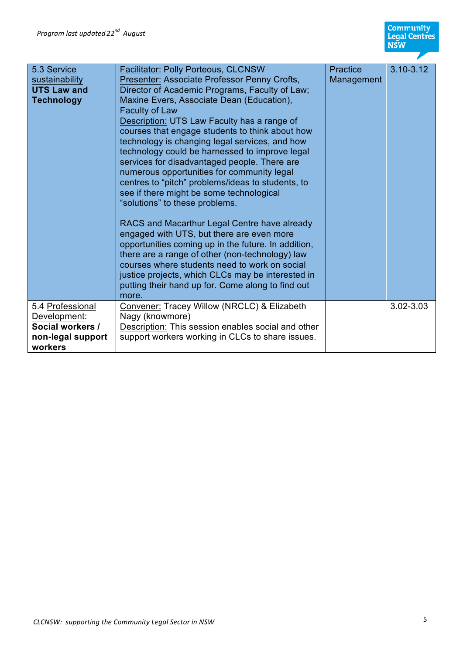**Community<br>Legal Centres<br>NSW** 

| 5.3 Service<br>sustainability<br><b>UTS Law and</b><br>Technology                    | <b>Facilitator: Polly Porteous, CLCNSW</b><br>Presenter: Associate Professor Penny Crofts,<br>Director of Academic Programs, Faculty of Law;<br>Maxine Evers, Associate Dean (Education),<br><b>Faculty of Law</b><br>Description: UTS Law Faculty has a range of<br>courses that engage students to think about how<br>technology is changing legal services, and how<br>technology could be harnessed to improve legal<br>services for disadvantaged people. There are<br>numerous opportunities for community legal<br>centres to "pitch" problems/ideas to students, to<br>see if there might be some technological<br>"solutions" to these problems.<br>RACS and Macarthur Legal Centre have already<br>engaged with UTS, but there are even more<br>opportunities coming up in the future. In addition,<br>there are a range of other (non-technology) law<br>courses where students need to work on social<br>justice projects, which CLCs may be interested in<br>putting their hand up for. Come along to find out<br>more. | Practice<br>Management | $3.10 - 3.12$ |
|--------------------------------------------------------------------------------------|--------------------------------------------------------------------------------------------------------------------------------------------------------------------------------------------------------------------------------------------------------------------------------------------------------------------------------------------------------------------------------------------------------------------------------------------------------------------------------------------------------------------------------------------------------------------------------------------------------------------------------------------------------------------------------------------------------------------------------------------------------------------------------------------------------------------------------------------------------------------------------------------------------------------------------------------------------------------------------------------------------------------------------------|------------------------|---------------|
| 5.4 Professional<br>Development:<br>Social workers /<br>non-legal support<br>workers | Convener: Tracey Willow (NRCLC) & Elizabeth<br>Nagy (knowmore)<br>Description: This session enables social and other<br>support workers working in CLCs to share issues.                                                                                                                                                                                                                                                                                                                                                                                                                                                                                                                                                                                                                                                                                                                                                                                                                                                             |                        | 3.02-3.03     |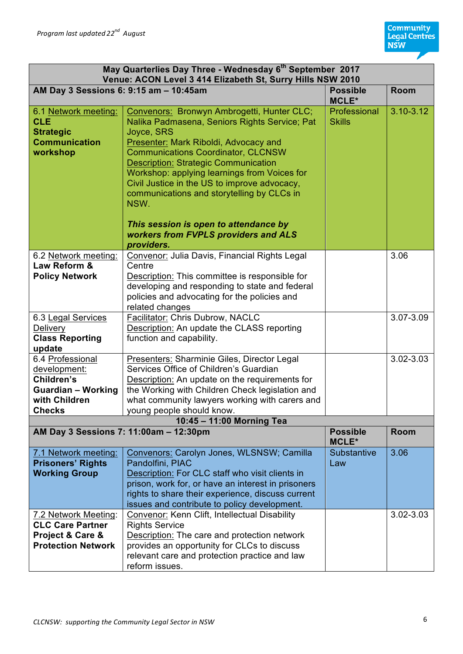| May Quarterlies Day Three - Wednesday 6 <sup>th</sup> September 2017<br>Venue: ACON Level 3 414 Elizabeth St, Surry Hills NSW 2010 |                                                                                                                                                                                                                                                                                                                                                                                                                                                                                       |                               |             |
|------------------------------------------------------------------------------------------------------------------------------------|---------------------------------------------------------------------------------------------------------------------------------------------------------------------------------------------------------------------------------------------------------------------------------------------------------------------------------------------------------------------------------------------------------------------------------------------------------------------------------------|-------------------------------|-------------|
| AM Day 3 Sessions 6: 9:15 am - 10:45am                                                                                             | <b>Possible</b><br><b>MCLE*</b>                                                                                                                                                                                                                                                                                                                                                                                                                                                       | Room                          |             |
| 6.1 Network meeting:<br><b>CLE</b><br><b>Strategic</b><br><b>Communication</b><br>workshop                                         | Convenors: Bronwyn Ambrogetti, Hunter CLC;<br>Nalika Padmasena, Seniors Rights Service; Pat<br>Joyce, SRS<br>Presenter: Mark Riboldi, Advocacy and<br><b>Communications Coordinator, CLCNSW</b><br><b>Description: Strategic Communication</b><br>Workshop: applying learnings from Voices for<br>Civil Justice in the US to improve advocacy,<br>communications and storytelling by CLCs in<br>NSW.<br>This session is open to attendance by<br>workers from FVPLS providers and ALS | Professional<br><b>Skills</b> | 3.10-3.12   |
|                                                                                                                                    | providers.                                                                                                                                                                                                                                                                                                                                                                                                                                                                            |                               |             |
| 6.2 Network meeting:<br>Law Reform &<br><b>Policy Network</b>                                                                      | Convenor: Julia Davis, Financial Rights Legal<br>Centre<br>Description: This committee is responsible for<br>developing and responding to state and federal<br>policies and advocating for the policies and<br>related changes                                                                                                                                                                                                                                                        |                               | 3.06        |
| 6.3 Legal Services                                                                                                                 | Facilitator: Chris Dubrow, NACLC                                                                                                                                                                                                                                                                                                                                                                                                                                                      |                               | 3.07-3.09   |
| Delivery<br><b>Class Reporting</b><br>update                                                                                       | <b>Description: An update the CLASS reporting</b><br>function and capability.                                                                                                                                                                                                                                                                                                                                                                                                         |                               |             |
| 6.4 Professional                                                                                                                   | Presenters: Sharminie Giles, Director Legal                                                                                                                                                                                                                                                                                                                                                                                                                                           |                               | 3.02-3.03   |
| development:                                                                                                                       | Services Office of Children's Guardian                                                                                                                                                                                                                                                                                                                                                                                                                                                |                               |             |
| Children's                                                                                                                         | Description: An update on the requirements for                                                                                                                                                                                                                                                                                                                                                                                                                                        |                               |             |
| <b>Guardian - Working</b>                                                                                                          | the Working with Children Check legislation and                                                                                                                                                                                                                                                                                                                                                                                                                                       |                               |             |
| with Children                                                                                                                      | what community lawyers working with carers and                                                                                                                                                                                                                                                                                                                                                                                                                                        |                               |             |
| <b>Checks</b>                                                                                                                      | young people should know.                                                                                                                                                                                                                                                                                                                                                                                                                                                             |                               |             |
| 10:45 - 11:00 Morning Tea                                                                                                          |                                                                                                                                                                                                                                                                                                                                                                                                                                                                                       |                               |             |
| AM Day 3 Sessions 7: 11:00am - 12:30pm                                                                                             |                                                                                                                                                                                                                                                                                                                                                                                                                                                                                       | <b>Possible</b><br>MCLE*      | <b>Room</b> |
| 7.1 Network meeting:                                                                                                               | Convenors: Carolyn Jones, WLSNSW; Camilla                                                                                                                                                                                                                                                                                                                                                                                                                                             | Substantive                   | 3.06        |
| <b>Prisoners' Rights</b>                                                                                                           | Pandolfini, PIAC                                                                                                                                                                                                                                                                                                                                                                                                                                                                      | Law                           |             |
| <b>Working Group</b>                                                                                                               | Description: For CLC staff who visit clients in                                                                                                                                                                                                                                                                                                                                                                                                                                       |                               |             |
|                                                                                                                                    | prison, work for, or have an interest in prisoners<br>rights to share their experience, discuss current<br>issues and contribute to policy development.                                                                                                                                                                                                                                                                                                                               |                               |             |
| 7.2 Network Meeting:                                                                                                               | Convenor: Kenn Clift, Intellectual Disability                                                                                                                                                                                                                                                                                                                                                                                                                                         |                               | 3.02-3.03   |
| <b>CLC Care Partner</b>                                                                                                            | <b>Rights Service</b>                                                                                                                                                                                                                                                                                                                                                                                                                                                                 |                               |             |
| Project & Care &                                                                                                                   | Description: The care and protection network                                                                                                                                                                                                                                                                                                                                                                                                                                          |                               |             |
| <b>Protection Network</b>                                                                                                          | provides an opportunity for CLCs to discuss                                                                                                                                                                                                                                                                                                                                                                                                                                           |                               |             |
|                                                                                                                                    | relevant care and protection practice and law<br>reform issues.                                                                                                                                                                                                                                                                                                                                                                                                                       |                               |             |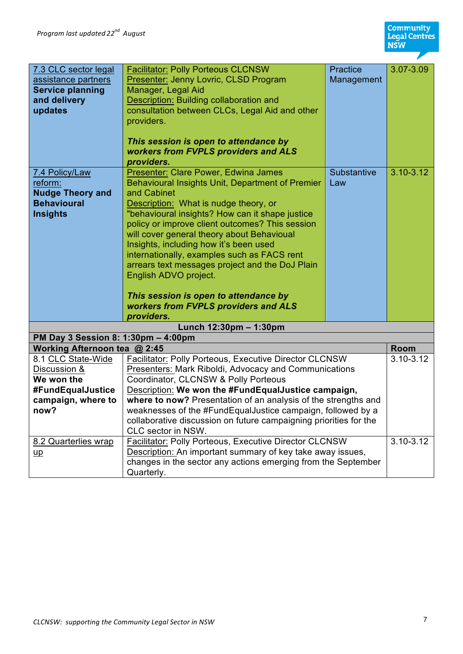| 7.3 CLC sector legal                | <b>Facilitator: Polly Porteous CLCNSW</b>                         | Practice    | 3.07-3.09     |
|-------------------------------------|-------------------------------------------------------------------|-------------|---------------|
| assistance partners                 | Presenter: Jenny Lovric, CLSD Program                             | Management  |               |
| <b>Service planning</b>             | Manager, Legal Aid                                                |             |               |
| and delivery                        | Description: Building collaboration and                           |             |               |
| updates                             | consultation between CLCs, Legal Aid and other                    |             |               |
|                                     | providers.                                                        |             |               |
|                                     |                                                                   |             |               |
|                                     | This session is open to attendance by                             |             |               |
|                                     | workers from FVPLS providers and ALS                              |             |               |
|                                     | providers.                                                        |             |               |
| 7.4 Policy/Law                      | Presenter: Clare Power, Edwina James                              | Substantive | $3.10 - 3.12$ |
| reform:                             | Behavioural Insights Unit, Department of Premier                  | Law         |               |
| <b>Nudge Theory and</b>             | and Cabinet                                                       |             |               |
| <b>Behavioural</b>                  | Description: What is nudge theory, or                             |             |               |
| <b>Insights</b>                     | "behavioural insights? How can it shape justice                   |             |               |
|                                     | policy or improve client outcomes? This session                   |             |               |
|                                     | will cover general theory about Behavioual                        |             |               |
|                                     | Insights, including how it's been used                            |             |               |
|                                     | internationally, examples such as FACS rent                       |             |               |
|                                     | arrears text messages project and the DoJ Plain                   |             |               |
|                                     | English ADVO project.                                             |             |               |
|                                     |                                                                   |             |               |
|                                     | This session is open to attendance by                             |             |               |
|                                     | workers from FVPLS providers and ALS                              |             |               |
|                                     | providers.                                                        |             |               |
| Lunch 12:30pm - 1:30pm              |                                                                   |             |               |
| PM Day 3 Session 8: 1:30pm - 4:00pm |                                                                   |             |               |
| Working Afternoon tea @ 2:45        |                                                                   |             | <b>Room</b>   |
| 8.1 CLC State-Wide                  | Facilitator: Polly Porteous, Executive Director CLCNSW            |             | $3.10 - 3.12$ |
| Discussion &                        | <b>Presenters: Mark Riboldi, Advocacy and Communications</b>      |             |               |
| We won the                          | Coordinator, CLCNSW & Polly Porteous                              |             |               |
| #FundEqualJustice                   | Description: We won the #FundEqualJustice campaign,               |             |               |
| campaign, where to                  | where to now? Presentation of an analysis of the strengths and    |             |               |
| now?                                | weaknesses of the #FundEqualJustice campaign, followed by a       |             |               |
|                                     | collaborative discussion on future campaigning priorities for the |             |               |
|                                     | CLC sector in NSW.                                                |             |               |
| 8.2 Quarterlies wrap                | <b>Facilitator: Polly Porteous, Executive Director CLCNSW</b>     |             | 3.10-3.12     |
| $\mathsf{u}\mathsf{p}$              | Description: An important summary of key take away issues,        |             |               |
|                                     | changes in the sector any actions emerging from the September     |             |               |
|                                     | Quarterly.                                                        |             |               |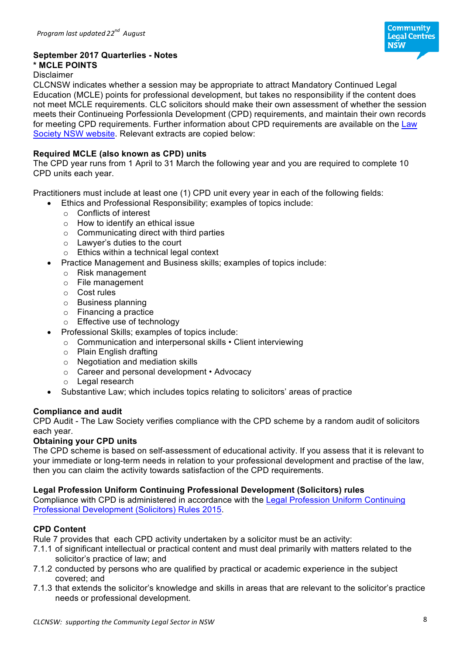

#### **September 2017 Quarterlies - Notes**

### **\* MCLE POINTS**

#### Disclaimer

CLCNSW indicates whether a session may be appropriate to attract Mandatory Continued Legal Education (MCLE) points for professional development, but takes no responsibility if the content does not meet MCLE requirements. CLC solicitors should make their own assessment of whether the session meets their Continueing Porfessionla Development (CPD) requirements, and maintain their own records for meeting CPD requirements. Further information about CPD requirements are available on the Law Society NSW website. Relevant extracts are copied below:

#### **Required MCLE (also known as CPD) units**

The CPD year runs from 1 April to 31 March the following year and you are required to complete 10 CPD units each year.

Practitioners must include at least one (1) CPD unit every year in each of the following fields:

- Ethics and Professional Responsibility; examples of topics include:
	- o Conflicts of interest
	- o How to identify an ethical issue
	- $\circ$  Communicating direct with third parties
	- o Lawyer's duties to the court
	- o Ethics within a technical legal context
- Practice Management and Business skills; examples of topics include:
	- o Risk management
	- o File management
	- o Cost rules
	- o Business planning
	- o Financing a practice
	- o Effective use of technology
- Professional Skills; examples of topics include:
	- o Communication and interpersonal skills Client interviewing
	- o Plain English drafting
	- o Negotiation and mediation skills
	- o Career and personal development Advocacy
	- o Legal research
- Substantive Law; which includes topics relating to solicitors' areas of practice

#### **Compliance and audit**

CPD Audit - The Law Society verifies compliance with the CPD scheme by a random audit of solicitors each year.

#### **Obtaining your CPD units**

The CPD scheme is based on self-assessment of educational activity. If you assess that it is relevant to your immediate or long-term needs in relation to your professional development and practise of the law, then you can claim the activity towards satisfaction of the CPD requirements.

#### **Legal Profession Uniform Continuing Professional Development (Solicitors) rules**

Compliance with CPD is administered in accordance with the Legal Profession Uniform Continuing Professional Development (Solicitors) Rules 2015.

#### **CPD Content**

Rule 7 provides that each CPD activity undertaken by a solicitor must be an activity:

- 7.1.1 of significant intellectual or practical content and must deal primarily with matters related to the solicitor's practice of law; and
- 7.1.2 conducted by persons who are qualified by practical or academic experience in the subject covered; and
- 7.1.3 that extends the solicitor's knowledge and skills in areas that are relevant to the solicitor's practice needs or professional development.